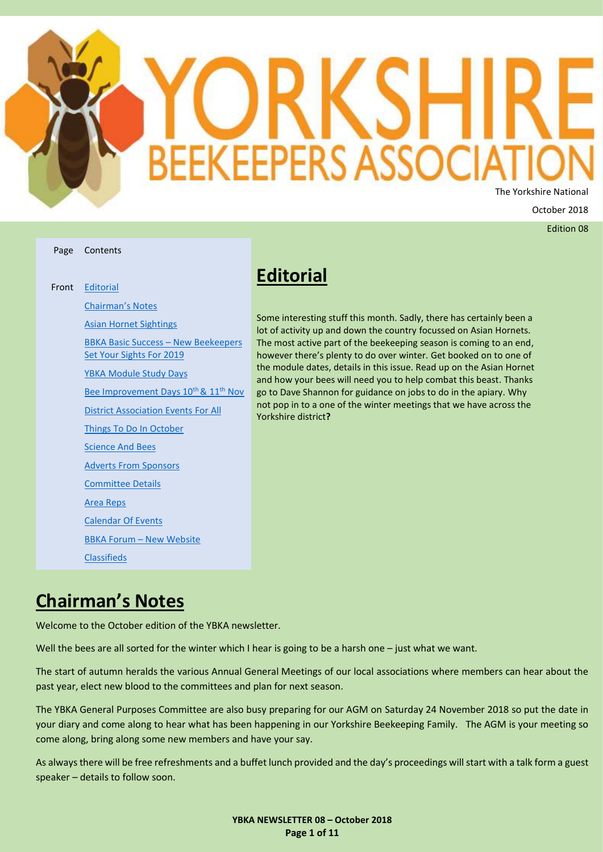

Edition 08

### Page Contents

Front [Editorial](#page-0-0)

[Chairman's](#page-0-1) Notes

[Asian Hornet Sightings](#page-1-0)

[Adverts From](#page-6-0) Sponsors

[Committee Details](#page-9-0)

[Calendar Of Events](#page-10-0)

BBKA Forum – [New Website](#page-10-1)

[Area Reps](#page-9-1)

[BBKA Basic Success](#page-1-1) – New Beekeepers [Set Your Sights For 2019](#page-1-1) [YBKA Module Study Days](#page-1-2) [Bee Improvement Days 10](#page-3-0)<sup>th</sup> & 11<sup>th</sup> Nov [District Association Events For All](#page-4-0) Things To [Do In October](#page-4-1) [Science And Bees](#page-5-0)

# <span id="page-0-0"></span>**Editorial**

Some interesting stuff this month. Sadly, there has certainly been a lot of activity up and down the country focussed on Asian Hornets. The most active part of the beekeeping season is coming to an end, however there's plenty to do over winter. Get booked on to one of the module dates, details in this issue. Read up on the Asian Hornet and how your bees will need you to help combat this beast. Thanks go to Dave Shannon for guidance on jobs to do in the apiary. Why not pop in to a one of the winter meetings that we have across the Yorkshire district**?**

# <span id="page-0-1"></span>**Chairman's Notes**

**[Classifieds](#page-10-2)** 

Welcome to the October edition of the YBKA newsletter.

Well the bees are all sorted for the winter which I hear is going to be a harsh one – just what we want.

The start of autumn heralds the various Annual General Meetings of our local associations where members can hear about the past year, elect new blood to the committees and plan for next season.

The YBKA General Purposes Committee are also busy preparing for our AGM on Saturday 24 November 2018 so put the date in your diary and come along to hear what has been happening in our Yorkshire Beekeeping Family. The AGM is your meeting so come along, bring along some new members and have your say.

As always there will be free refreshments and a buffet lunch provided and the day's proceedings will start with a talk form a guest speaker – details to follow soon.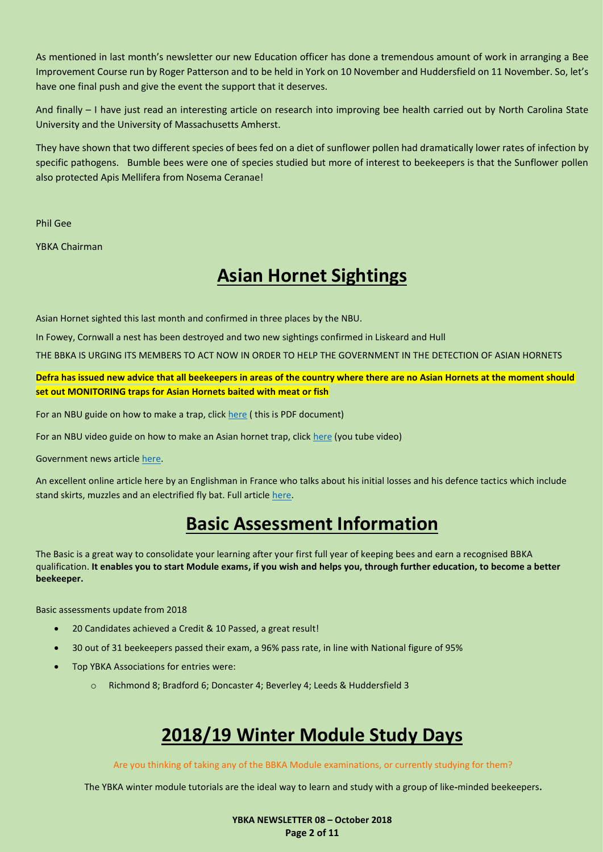As mentioned in last month's newsletter our new Education officer has done a tremendous amount of work in arranging a Bee Improvement Course run by Roger Patterson and to be held in York on 10 November and Huddersfield on 11 November. So, let's have one final push and give the event the support that it deserves.

And finally – I have just read an interesting article on research into improving bee health carried out by North Carolina State University and the University of Massachusetts Amherst.

They have shown that two different species of bees fed on a diet of sunflower pollen had dramatically lower rates of infection by specific pathogens. Bumble bees were one of species studied but more of interest to beekeepers is that the Sunflower pollen also protected Apis Mellifera from Nosema Ceranae!

Phil Gee

<span id="page-1-0"></span>YBKA Chairman

# **Asian Hornet Sightings**

Asian Hornet sighted this last month and confirmed in three places by the NBU.

In Fowey, Cornwall a nest has been destroyed and two new sightings confirmed in Liskeard and Hull

THE BBKA IS URGING ITS MEMBERS TO ACT NOW IN ORDER TO HELP THE GOVERNMENT IN THE DETECTION OF ASIAN HORNETS

**Defra has issued new advice that all beekeepers in areas of the country where there are no Asian Hornets at the moment should set out MONITORING traps for Asian Hornets baited with meat or fish**

For an NBU guide on how to make a trap, clic[k here](https://www.google.com/url?sa=t&rct=j&q=&esrc=s&source=web&cd=1&cad=rja&uact=8&ved=2ahUKEwjEvYmAn7HdAhVrCcAKHdi_D7AQFjAAegQIBBAC&url=http%3A%2F%2Fwww.nationalbeeunit.com%2FdownloadNews.cfm%3Fid%3D122&usg=AOvVaw0ZVUl_44a9NFNMCOk4gHHN) ( this is PDF document)

For an NBU video guide on how to make an Asian hornet trap, click [here](https://www.youtube.com/watch?v=CR6MUekAjMo) (you tube video)

Government news article [here.](https://www.gov.uk/government/news/asian-hornet-fowey-nest-destroyed-as-two-new-sightings-confirmed-in-liskeard-and-hull)

<span id="page-1-1"></span>An excellent online article here by an Englishman in France who talks about his initial losses and his defence tactics which include stand skirts, muzzles and an electrified fly bat. Full article [here.](https://honeybeesuite.com/beekeeping-with-asian-hornets/)

# **Basic Assessment Information**

The Basic is a great way to consolidate your learning after your first full year of keeping bees and earn a recognised BBKA qualification. **It enables you to start Module exams, if you wish and helps you, through further education, to become a better beekeeper.**

Basic assessments update from 2018

- 20 Candidates achieved a Credit & 10 Passed, a great result!
- 30 out of 31 beekeepers passed their exam, a 96% pass rate, in line with National figure of 95%
- <span id="page-1-2"></span>• Top YBKA Associations for entries were:
	- o Richmond 8; Bradford 6; Doncaster 4; Beverley 4; Leeds & Huddersfield 3

# **2018/19 Winter Module Study Days**

Are you thinking of taking any of the BBKA Module examinations, or currently studying for them?

The YBKA winter module tutorials are the ideal way to learn and study with a group of like**-**minded beekeepers**.**

**YBKA NEWSLETTER 08 – October 2018 Page 2 of 11**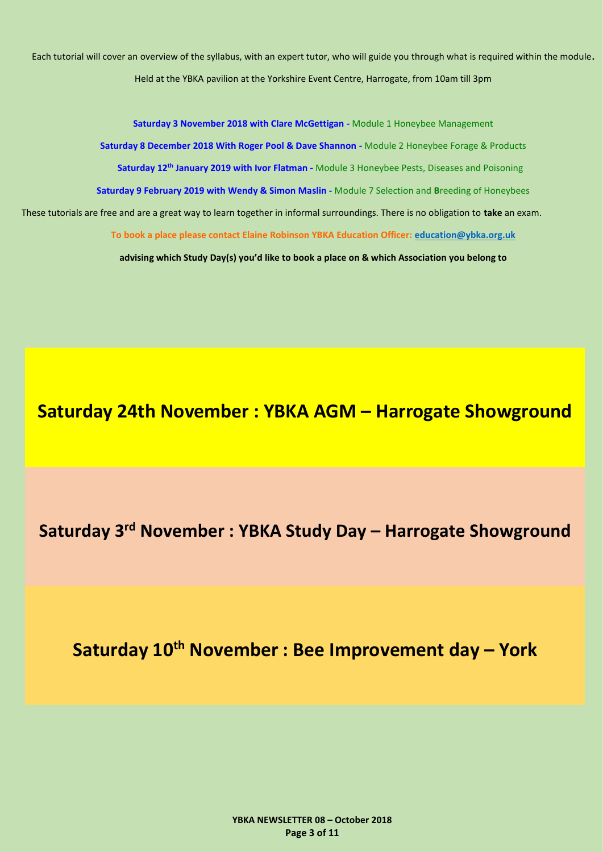Each tutorial will cover an overview of the syllabus, with an expert tutor, who will guide you through what is required within the module**.** Held at the YBKA pavilion at the Yorkshire Event Centre, Harrogate, from 10am till 3pm

**Saturday 3 November 2018 with Clare McGettigan -** Module 1 Honeybee Management **Saturday 8 December 2018 With Roger Pool & Dave Shannon -** Module 2 Honeybee Forage & Products **Saturday 12th January 2019 with Ivor Flatman -** Module 3 Honeybee Pests, Diseases and Poisoning **Saturday 9 February 2019 with Wendy & Simon Maslin -** Module 7 Selection and **B**reeding of Honeybees These tutorials are free and are a great way to learn together in informal surroundings. There is no obligation to **take** an exam. **To book a place please contact Elaine Robinson YBKA Education Officer[: education@ybka.org.uk](mailto:education@ybka.org.uk) advising which Study Day(s) you'd like to book a place on & which Association you belong to**

**Saturday 24th November : YBKA AGM – Harrogate Showground**

**Saturday 3 rd November : YBKA Study Day – Harrogate Showground**

**Saturday 10th November : Bee Improvement day – York**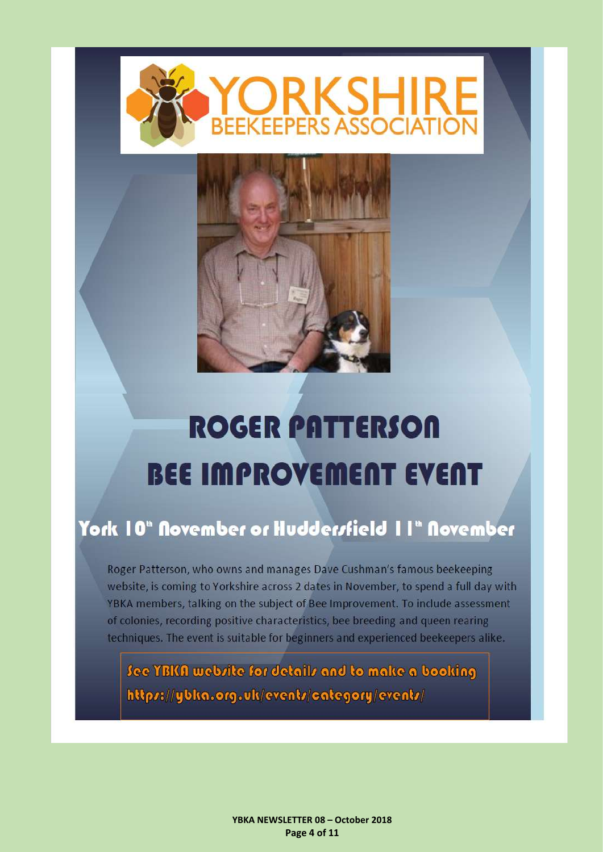<span id="page-3-0"></span>



# **ROGER PATTERSON BEE IMPROVEMENT EVENT**

# York 10" November or Hudderstield 11" November

Roger Patterson, who owns and manages Dave Cushman's famous beekeeping website, is coming to Yorkshire across 2 dates in November, to spend a full day with YBKA members, talking on the subject of Bee Improvement. To include assessment of colonies, recording positive characteristics, bee breeding and queen rearing techniques. The event is suitable for beginners and experienced beekeepers alike.

See YBKA website for details and to make a booking http://ybka.org.uk/eventr/category/eventr/

> YBKA NEWSLETTER 08 - October 2018 Page 4 of 11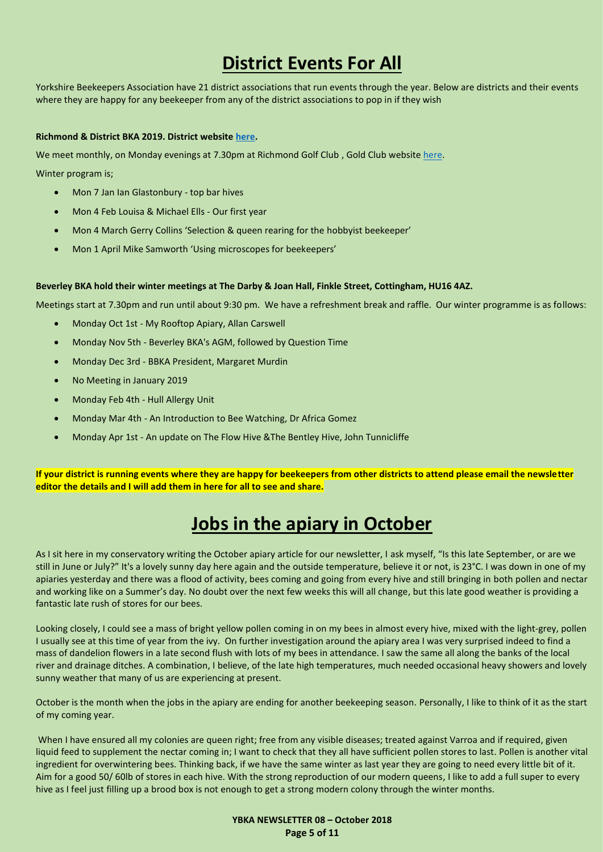# **District Events For All**

<span id="page-4-0"></span>Yorkshire Beekeepers Association have 21 district associations that run events through the year. Below are districts and their events where they are happy for any beekeeper from any of the district associations to pop in if they wish

### **Richmond & District BKA 2019. District website [here.](http://richmondbeekeepers.co.uk/)**

We meet monthly, on Monday evenings at 7.30pm at Richmond Golf Club, Gold Club website [here.](http://www.richmondyorksgolfclub.co.uk/)

Winter program is;

- Mon 7 Jan Ian Glastonbury top bar hives
- Mon 4 Feb Louisa & Michael Ells Our first year
- Mon 4 March Gerry Collins 'Selection & queen rearing for the hobbyist beekeeper'
- Mon 1 April Mike Samworth 'Using microscopes for beekeepers'

### **Beverley BKA hold their winter meetings at The Darby & Joan Hall, Finkle Street, Cottingham, HU16 4AZ.**

Meetings start at 7.30pm and run until about 9:30 pm. We have a refreshment break and raffle. Our winter programme is as follows:

- Monday Oct 1st My Rooftop Apiary, Allan Carswell
- Monday Nov 5th Beverley BKA's AGM, followed by Question Time
- Monday Dec 3rd BBKA President, Margaret Murdin
- No Meeting in January 2019
- Monday Feb 4th Hull Allergy Unit
- Monday Mar 4th An Introduction to Bee Watching, Dr Africa Gomez
- Monday Apr 1st An update on The Flow Hive &The Bentley Hive, John Tunnicliffe

**If your district is running events where they are happy for beekeepers from other districts to attend please email the newsletter editor the details and I will add them in here for all to see and share.**

# **Jobs in the apiary in October**

<span id="page-4-1"></span>As I sit here in my conservatory writing the October apiary article for our newsletter, I ask myself, "Is this late September, or are we still in June or July?" It's a lovely sunny day here again and the outside temperature, believe it or not, is 23°C. I was down in one of my apiaries yesterday and there was a flood of activity, bees coming and going from every hive and still bringing in both pollen and nectar and working like on a Summer's day. No doubt over the next few weeks this will all change, but this late good weather is providing a fantastic late rush of stores for our bees.

Looking closely, I could see a mass of bright yellow pollen coming in on my bees in almost every hive, mixed with the light-grey, pollen I usually see at this time of year from the ivy. On further investigation around the apiary area I was very surprised indeed to find a mass of dandelion flowers in a late second flush with lots of my bees in attendance. I saw the same all along the banks of the local river and drainage ditches. A combination, I believe, of the late high temperatures, much needed occasional heavy showers and lovely sunny weather that many of us are experiencing at present.

October is the month when the jobs in the apiary are ending for another beekeeping season. Personally, I like to think of it as the start of my coming year.

When I have ensured all my colonies are queen right; free from any visible diseases; treated against Varroa and if required, given liquid feed to supplement the nectar coming in; I want to check that they all have sufficient pollen stores to last. Pollen is another vital ingredient for overwintering bees. Thinking back, if we have the same winter as last year they are going to need every little bit of it. Aim for a good 50/ 60lb of stores in each hive. With the strong reproduction of our modern queens, I like to add a full super to every hive as I feel just filling up a brood box is not enough to get a strong modern colony through the winter months.

> **YBKA NEWSLETTER 08 – October 2018 Page 5 of 11**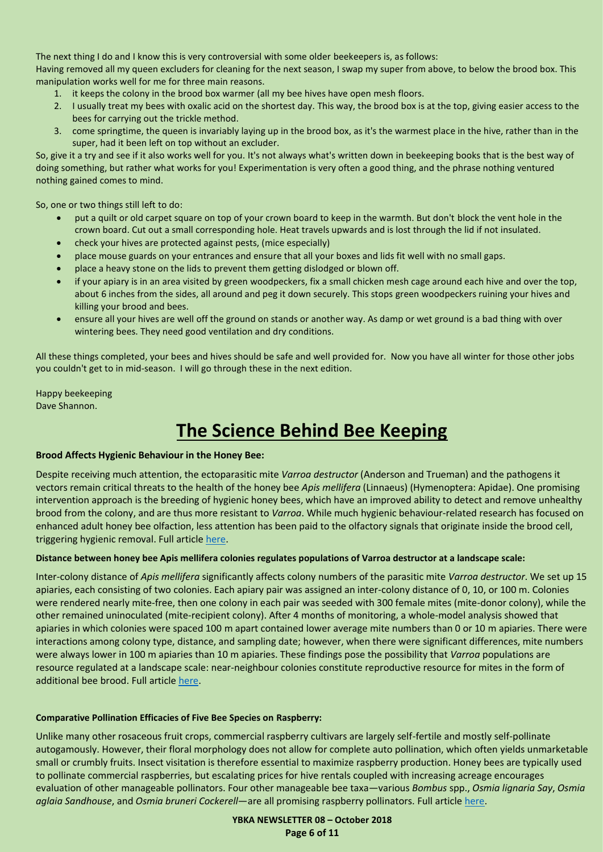The next thing I do and I know this is very controversial with some older beekeepers is, as follows:

Having removed all my queen excluders for cleaning for the next season, I swap my super from above, to below the brood box. This manipulation works well for me for three main reasons.

- 1. it keeps the colony in the brood box warmer (all my bee hives have open mesh floors.
- 2. I usually treat my bees with oxalic acid on the shortest day. This way, the brood box is at the top, giving easier access to the bees for carrying out the trickle method.
- 3. come springtime, the queen is invariably laying up in the brood box, as it's the warmest place in the hive, rather than in the super, had it been left on top without an excluder.

So, give it a try and see if it also works well for you. It's not always what's written down in beekeeping books that is the best way of doing something, but rather what works for you! Experimentation is very often a good thing, and the phrase nothing ventured nothing gained comes to mind.

So, one or two things still left to do:

- put a quilt or old carpet square on top of your crown board to keep in the warmth. But don't block the vent hole in the crown board. Cut out a small corresponding hole. Heat travels upwards and is lost through the lid if not insulated.
- check your hives are protected against pests, (mice especially)
- place mouse guards on your entrances and ensure that all your boxes and lids fit well with no small gaps.
- place a heavy stone on the lids to prevent them getting dislodged or blown off.
- if your apiary is in an area visited by green woodpeckers, fix a small chicken mesh cage around each hive and over the top, about 6 inches from the sides, all around and peg it down securely. This stops green woodpeckers ruining your hives and killing your brood and bees.
- ensure all your hives are well off the ground on stands or another way. As damp or wet ground is a bad thing with over wintering bees. They need good ventilation and dry conditions.

All these things completed, your bees and hives should be safe and well provided for. Now you have all winter for those other jobs you couldn't get to in mid-season. I will go through these in the next edition.

<span id="page-5-0"></span>Happy beekeeping Dave Shannon.

# **The Science Behind Bee Keeping**

### **Brood Affects Hygienic Behaviour in the Honey Bee:**

Despite receiving much attention, the ectoparasitic mite *Varroa destructor* (Anderson and Trueman) and the pathogens it vectors remain critical threats to the health of the honey bee *Apis mellifera* (Linnaeus) (Hymenoptera: Apidae). One promising intervention approach is the breeding of hygienic honey bees, which have an improved ability to detect and remove unhealthy brood from the colony, and are thus more resistant to *Varroa*. While much hygienic behaviour-related research has focused on enhanced adult honey bee olfaction, less attention has been paid to the olfactory signals that originate inside the brood cell, triggering hygienic removal. Full article [here.](https://academic.oup.com/jee/advance-article/doi/10.1093/jee/toy266/5095208)

### **Distance between honey bee Apis mellifera colonies regulates populations of Varroa destructor at a landscape scale:**

Inter-colony distance of *Apis mellifera* significantly affects colony numbers of the parasitic mite *Varroa destructor*. We set up 15 apiaries, each consisting of two colonies. Each apiary pair was assigned an inter-colony distance of 0, 10, or 100 m. Colonies were rendered nearly mite-free, then one colony in each pair was seeded with 300 female mites (mite-donor colony), while the other remained uninoculated (mite-recipient colony). After 4 months of monitoring, a whole-model analysis showed that apiaries in which colonies were spaced 100 m apart contained lower average mite numbers than 0 or 10 m apiaries. There were interactions among colony type, distance, and sampling date; however, when there were significant differences, mite numbers were always lower in 100 m apiaries than 10 m apiaries. These findings pose the possibility that *Varroa* populations are resource regulated at a landscape scale: near-neighbour colonies constitute reproductive resource for mites in the form of additional bee brood. Full articl[e here.](https://link.springer.com/article/10.1007/s13592-016-0443-9)

### **Comparative Pollination Efficacies of Five Bee Species on Raspberry:**

Unlike many other rosaceous fruit crops, commercial raspberry cultivars are largely self-fertile and mostly self-pollinate autogamously. However, their floral morphology does not allow for complete auto pollination, which often yields unmarketable small or crumbly fruits. Insect visitation is therefore essential to maximize raspberry production. Honey bees are typically used to pollinate commercial raspberries, but escalating prices for hive rentals coupled with increasing acreage encourages evaluation of other manageable pollinators. Four other manageable bee taxa—various *Bombus* spp., *Osmia lignaria Say*, *Osmia aglaia Sandhouse*, and *Osmia bruneri Cockerell*—are all promising raspberry pollinators. Full articl[e here.](https://academic.oup.com/jee/advance-article/doi/10.1093/jee/toy226/5075877?searchresult=1)

> **YBKA NEWSLETTER 08 – October 2018 Page 6 of 11**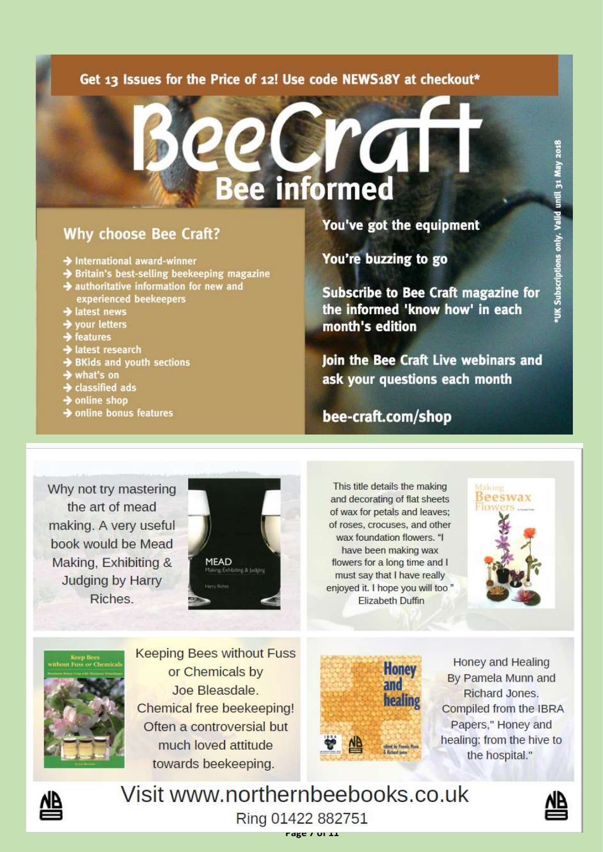### <span id="page-6-0"></span>Get 13 Issues for the Price of 12! Use code NEWS18Y at checkout\*

# **Bee informed**

# **Why choose Bee Craft?**

- International award-winner
- Britain's best-selling beekeeping magazine
- authoritative information for new and experienced beekeepers
- latest news
- your letters
- features
- latest research
- **BKids and youth sections**
- what's on
- classified ads
- online shop
- $\rightarrow$  online bonus features

### You've got the equipment

You're buzzing to go

**Subscribe to Bee Craft magazine for** the informed 'know how' in each month's edition

Join the Bee Craft Live webinars and ask your questions each month

# bee-craft.com/shop

Why not try mastering the art of mead making. A very useful book would be Mead Making, Exhibiting & **Judging by Harry** Riches.



This title details the making and decorating of flat sheets of wax for petals and leaves; of roses, crocuses, and other wax foundation flowers. "I have been making wax flowers for a long time and I must say that I have really enjoyed it. I hope you will too" **Elizabeth Duffin** 



Valid

only.



**Keeping Bees without Fuss** or Chemicals by Joe Bleasdale. Chemical free beekeeping! Often a controversial but much loved attitude towards beekeeping.



Honey and Healing By Pamela Munn and Richard Jones. Compiled from the IBRA Papers," Honey and healing: from the hive to the hospital."



Visit www.northernbeebooks.co.uk Ring 01422 882751

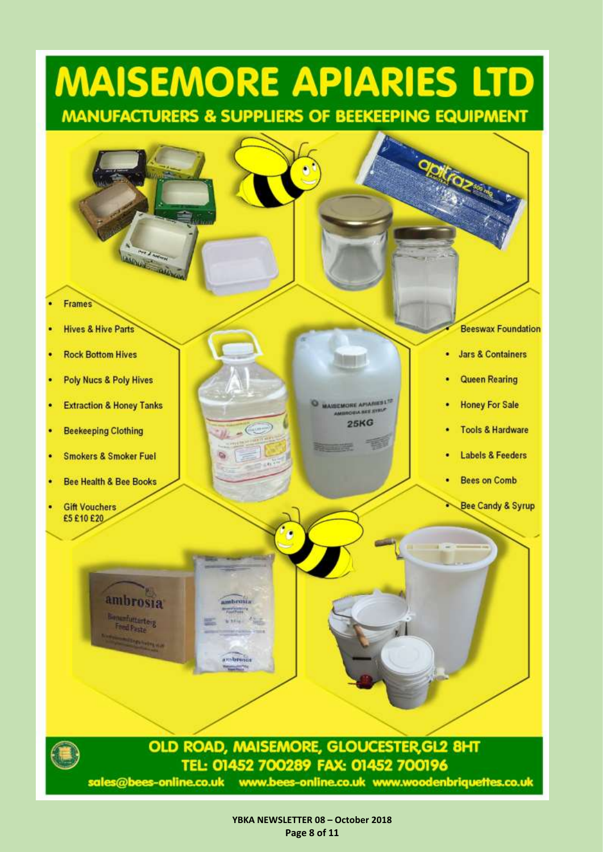# **MAISEMORE APIARIES LTD MANUFACTURERS & SUPPLIERS OF BEEKEEPING EQUIPMENT**



**YBKA NEWSLETTER 08 – October 2018 Page 8 of 11**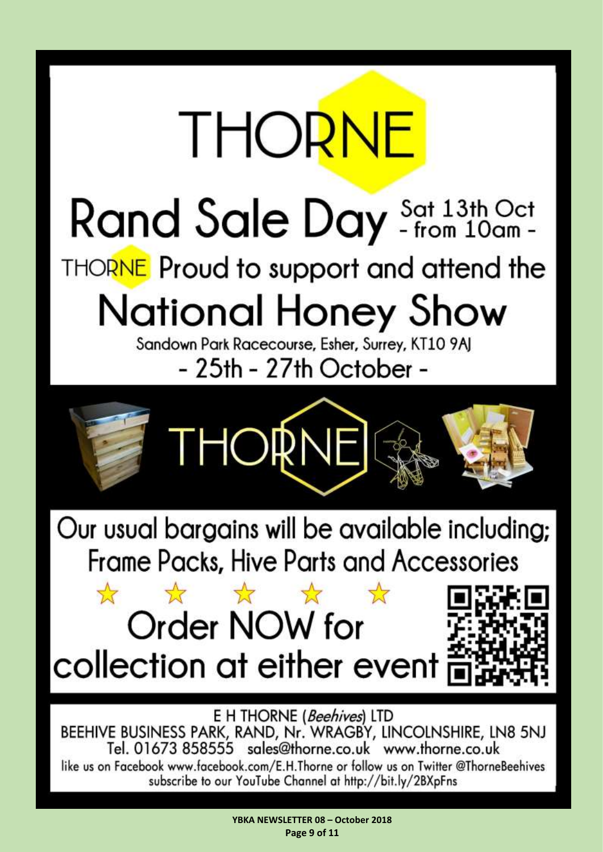

**YBKA NEWSLETTER 08 – October 2018 Page 9 of 11**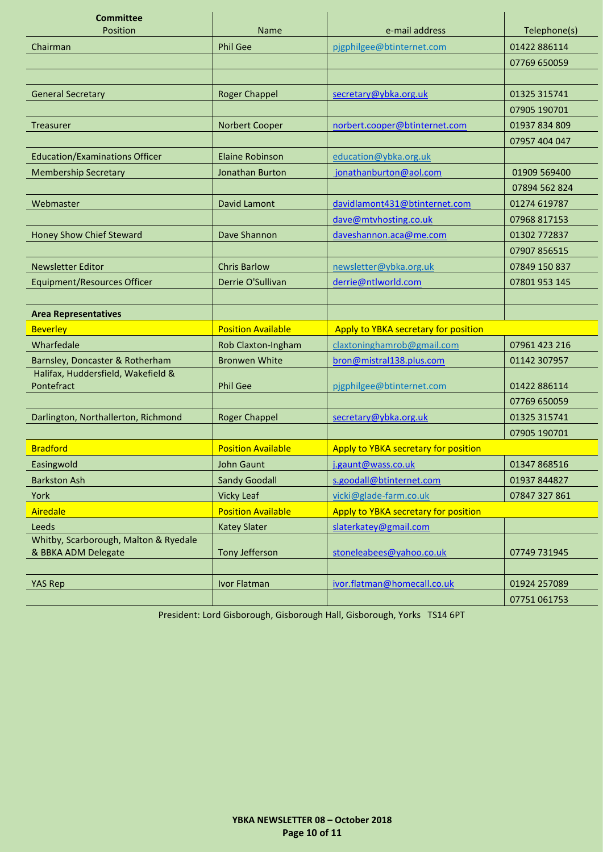<span id="page-9-1"></span><span id="page-9-0"></span>

| <b>Committee</b><br>Position                   | Name                      | e-mail address                       | Telephone(s)  |
|------------------------------------------------|---------------------------|--------------------------------------|---------------|
| Chairman                                       | <b>Phil Gee</b>           | pjgphilgee@btinternet.com            | 01422 886114  |
|                                                |                           |                                      | 07769 650059  |
|                                                |                           |                                      |               |
| <b>General Secretary</b>                       | <b>Roger Chappel</b>      | secretary@ybka.org.uk                | 01325 315741  |
|                                                |                           |                                      | 07905 190701  |
| <b>Treasurer</b>                               | Norbert Cooper            | norbert.cooper@btinternet.com        | 01937 834 809 |
|                                                |                           |                                      | 07957 404 047 |
| <b>Education/Examinations Officer</b>          | <b>Elaine Robinson</b>    | education@ybka.org.uk                |               |
| <b>Membership Secretary</b>                    | Jonathan Burton           | jonathanburton@aol.com               | 01909 569400  |
|                                                |                           |                                      | 07894 562 824 |
| Webmaster                                      | David Lamont              | davidlamont431@btinternet.com        | 01274 619787  |
|                                                |                           | dave@mtvhosting.co.uk                | 07968 817153  |
| Honey Show Chief Steward                       | Dave Shannon              | daveshannon.aca@me.com               | 01302 772837  |
|                                                |                           |                                      | 07907 856515  |
| <b>Newsletter Editor</b>                       | <b>Chris Barlow</b>       | newsletter@ybka.org.uk               | 07849 150 837 |
| <b>Equipment/Resources Officer</b>             | Derrie O'Sullivan         | derrie@ntlworld.com                  | 07801 953 145 |
|                                                |                           |                                      |               |
| <b>Area Representatives</b>                    |                           |                                      |               |
| <b>Beverley</b>                                | <b>Position Available</b> | Apply to YBKA secretary for position |               |
| Wharfedale                                     | Rob Claxton-Ingham        | claxtoninghamrob@gmail.com           | 07961 423 216 |
| Barnsley, Doncaster & Rotherham                | <b>Bronwen White</b>      | bron@mistral138.plus.com             | 01142 307957  |
| Halifax, Huddersfield, Wakefield &             |                           |                                      |               |
| Pontefract                                     | <b>Phil Gee</b>           | pjgphilgee@btinternet.com            | 01422 886114  |
|                                                |                           |                                      | 07769 650059  |
| Darlington, Northallerton, Richmond            | <b>Roger Chappel</b>      | secretary@ybka.org.uk                | 01325 315741  |
|                                                |                           |                                      | 07905 190701  |
| <b>Bradford</b>                                | <b>Position Available</b> | Apply to YBKA secretary for position |               |
| Easingwold                                     | John Gaunt                | $i$ .gaunt@wass.co.uk                | 01347 868516  |
| <b>Barkston Ash</b>                            | <b>Sandy Goodall</b>      | s.goodall@btinternet.com             | 01937 844827  |
| York                                           | <b>Vicky Leaf</b>         | vicki@glade-farm.co.uk               | 07847 327 861 |
| Airedale                                       | <b>Position Available</b> | Apply to YBKA secretary for position |               |
| Leeds<br>Whitby, Scarborough, Malton & Ryedale | <b>Katey Slater</b>       | slaterkatey@gmail.com                |               |
| & BBKA ADM Delegate                            | Tony Jefferson            | stoneleabees@yahoo.co.uk             | 07749 731945  |
|                                                |                           |                                      |               |
| <b>YAS Rep</b>                                 | <b>Ivor Flatman</b>       | ivor.flatman@homecall.co.uk          | 01924 257089  |
|                                                |                           |                                      | 07751 061753  |

President: Lord Gisborough, Gisborough Hall, Gisborough, Yorks TS14 6PT